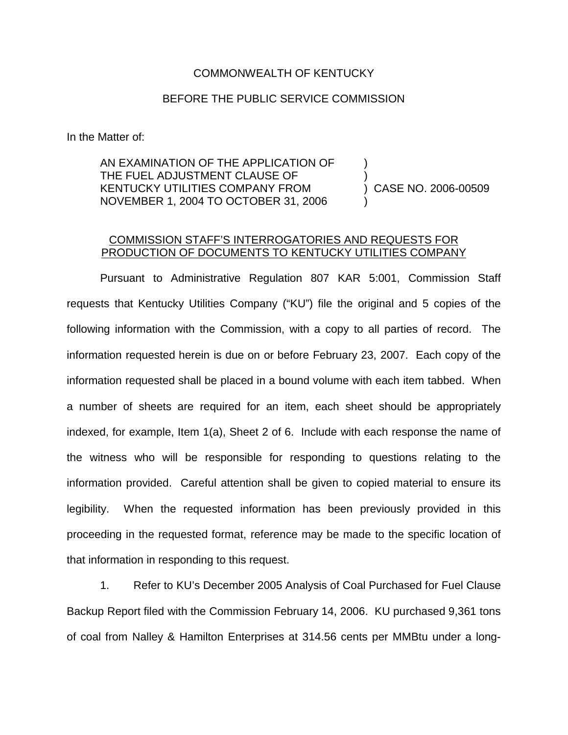## COMMONWEALTH OF KENTUCKY

## BEFORE THE PUBLIC SERVICE COMMISSION

In the Matter of:

AN EXAMINATION OF THE APPLICATION OF THE FUEL ADJUSTMENT CLAUSE OF KENTUCKY UTILITIES COMPANY FROM NOVEMBER 1, 2004 TO OCTOBER 31, 2006 ) ) )

) CASE NO. 2006-00509

## COMMISSION STAFF'S INTERROGATORIES AND REQUESTS FOR PRODUCTION OF DOCUMENTS TO KENTUCKY UTILITIES COMPANY

Pursuant to Administrative Regulation 807 KAR 5:001, Commission Staff requests that Kentucky Utilities Company ("KU") file the original and 5 copies of the following information with the Commission, with a copy to all parties of record. The information requested herein is due on or before February 23, 2007. Each copy of the information requested shall be placed in a bound volume with each item tabbed. When a number of sheets are required for an item, each sheet should be appropriately indexed, for example, Item 1(a), Sheet 2 of 6. Include with each response the name of the witness who will be responsible for responding to questions relating to the information provided. Careful attention shall be given to copied material to ensure its legibility. When the requested information has been previously provided in this proceeding in the requested format, reference may be made to the specific location of that information in responding to this request.

1. Refer to KU's December 2005 Analysis of Coal Purchased for Fuel Clause Backup Report filed with the Commission February 14, 2006. KU purchased 9,361 tons of coal from Nalley & Hamilton Enterprises at 314.56 cents per MMBtu under a long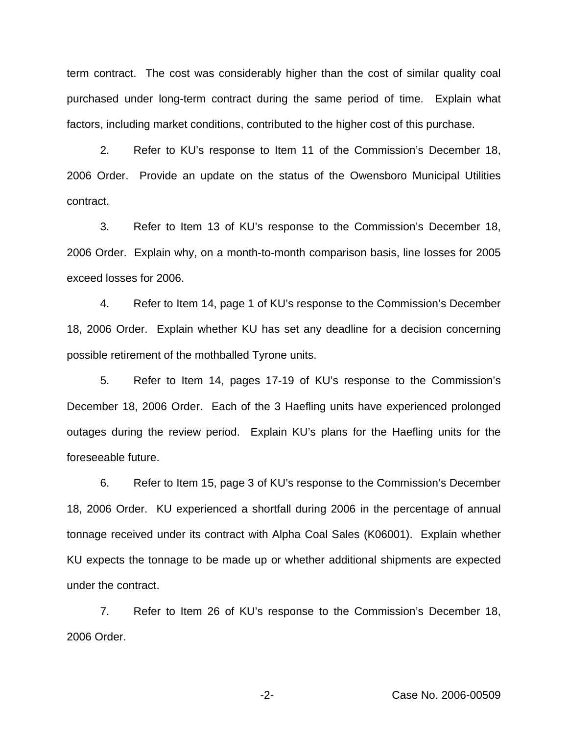term contract. The cost was considerably higher than the cost of similar quality coal purchased under long-term contract during the same period of time. Explain what factors, including market conditions, contributed to the higher cost of this purchase.

2. Refer to KU's response to Item 11 of the Commission's December 18, 2006 Order. Provide an update on the status of the Owensboro Municipal Utilities contract.

3. Refer to Item 13 of KU's response to the Commission's December 18, 2006 Order. Explain why, on a month-to-month comparison basis, line losses for 2005 exceed losses for 2006.

4. Refer to Item 14, page 1 of KU's response to the Commission's December 18, 2006 Order. Explain whether KU has set any deadline for a decision concerning possible retirement of the mothballed Tyrone units.

5. Refer to Item 14, pages 17-19 of KU's response to the Commission's December 18, 2006 Order. Each of the 3 Haefling units have experienced prolonged outages during the review period. Explain KU's plans for the Haefling units for the foreseeable future.

6. Refer to Item 15, page 3 of KU's response to the Commission's December 18, 2006 Order. KU experienced a shortfall during 2006 in the percentage of annual tonnage received under its contract with Alpha Coal Sales (K06001). Explain whether KU expects the tonnage to be made up or whether additional shipments are expected under the contract.

7. Refer to Item 26 of KU's response to the Commission's December 18, 2006 Order.